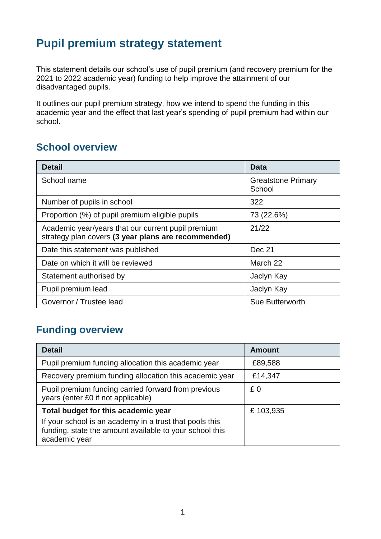## **Pupil premium strategy statement**

This statement details our school's use of pupil premium (and recovery premium for the 2021 to 2022 academic year) funding to help improve the attainment of our disadvantaged pupils.

It outlines our pupil premium strategy, how we intend to spend the funding in this academic year and the effect that last year's spending of pupil premium had within our school.

#### **School overview**

| <b>Detail</b>                                                                                             | Data                                |
|-----------------------------------------------------------------------------------------------------------|-------------------------------------|
| School name                                                                                               | <b>Greatstone Primary</b><br>School |
| Number of pupils in school                                                                                | 322                                 |
| Proportion (%) of pupil premium eligible pupils                                                           | 73 (22.6%)                          |
| Academic year/years that our current pupil premium<br>strategy plan covers (3 year plans are recommended) | 21/22                               |
| Date this statement was published                                                                         | Dec 21                              |
| Date on which it will be reviewed                                                                         | March 22                            |
| Statement authorised by                                                                                   | Jaclyn Kay                          |
| Pupil premium lead                                                                                        | Jaclyn Kay                          |
| Governor / Trustee lead                                                                                   | Sue Butterworth                     |

## **Funding overview**

| <b>Detail</b>                                                                                                                       | <b>Amount</b> |
|-------------------------------------------------------------------------------------------------------------------------------------|---------------|
| Pupil premium funding allocation this academic year                                                                                 | £89,588       |
| Recovery premium funding allocation this academic year                                                                              | £14,347       |
| Pupil premium funding carried forward from previous<br>years (enter £0 if not applicable)                                           | £0            |
| Total budget for this academic year                                                                                                 | £103,935      |
| If your school is an academy in a trust that pools this<br>funding, state the amount available to your school this<br>academic year |               |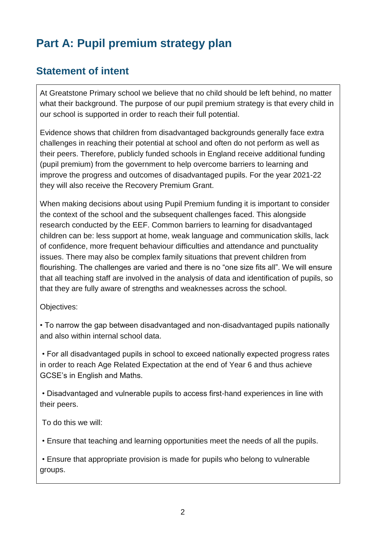# **Part A: Pupil premium strategy plan**

#### **Statement of intent**

At Greatstone Primary school we believe that no child should be left behind, no matter what their background. The purpose of our pupil premium strategy is that every child in our school is supported in order to reach their full potential.

Evidence shows that children from disadvantaged backgrounds generally face extra challenges in reaching their potential at school and often do not perform as well as their peers. Therefore, publicly funded schools in England receive additional funding (pupil premium) from the government to help overcome barriers to learning and improve the progress and outcomes of disadvantaged pupils. For the year 2021-22 they will also receive the Recovery Premium Grant.

When making decisions about using Pupil Premium funding it is important to consider the context of the school and the subsequent challenges faced. This alongside research conducted by the EEF. Common barriers to learning for disadvantaged children can be: less support at home, weak language and communication skills, lack of confidence, more frequent behaviour difficulties and attendance and punctuality issues. There may also be complex family situations that prevent children from flourishing. The challenges are varied and there is no "one size fits all". We will ensure that all teaching staff are involved in the analysis of data and identification of pupils, so that they are fully aware of strengths and weaknesses across the school.

Objectives:

• To narrow the gap between disadvantaged and non-disadvantaged pupils nationally and also within internal school data.

• For all disadvantaged pupils in school to exceed nationally expected progress rates in order to reach Age Related Expectation at the end of Year 6 and thus achieve GCSE's in English and Maths.

• Disadvantaged and vulnerable pupils to access first-hand experiences in line with their peers.

To do this we will:

• Ensure that teaching and learning opportunities meet the needs of all the pupils.

• Ensure that appropriate provision is made for pupils who belong to vulnerable groups.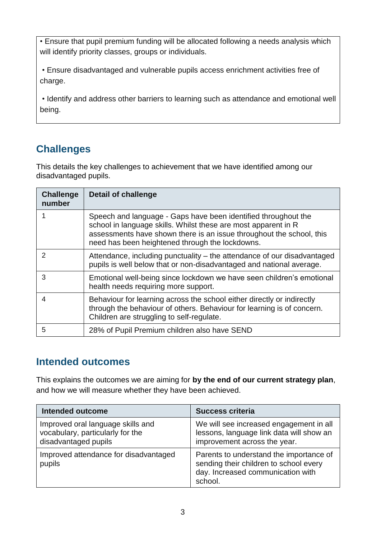• Ensure that pupil premium funding will be allocated following a needs analysis which will identify priority classes, groups or individuals.

• Ensure disadvantaged and vulnerable pupils access enrichment activities free of charge.

• Identify and address other barriers to learning such as attendance and emotional well being.

### **Challenges**

This details the key challenges to achievement that we have identified among our disadvantaged pupils.

| <b>Challenge</b><br>number | <b>Detail of challenge</b>                                                                                                                                                                                                                                  |
|----------------------------|-------------------------------------------------------------------------------------------------------------------------------------------------------------------------------------------------------------------------------------------------------------|
|                            | Speech and language - Gaps have been identified throughout the<br>school in language skills. Whilst these are most apparent in R<br>assessments have shown there is an issue throughout the school, this<br>need has been heightened through the lockdowns. |
| $\mathcal{P}$              | Attendance, including punctuality – the attendance of our disadvantaged<br>pupils is well below that or non-disadvantaged and national average.                                                                                                             |
| 3                          | Emotional well-being since lockdown we have seen children's emotional<br>health needs requiring more support.                                                                                                                                               |
| 4                          | Behaviour for learning across the school either directly or indirectly<br>through the behaviour of others. Behaviour for learning is of concern.<br>Children are struggling to self-regulate.                                                               |
| 5                          | 28% of Pupil Premium children also have SEND                                                                                                                                                                                                                |

### **Intended outcomes**

This explains the outcomes we are aiming for **by the end of our current strategy plan**, and how we will measure whether they have been achieved.

| <b>Intended outcome</b>                                                                       | <b>Success criteria</b>                                                                                                           |
|-----------------------------------------------------------------------------------------------|-----------------------------------------------------------------------------------------------------------------------------------|
| Improved oral language skills and<br>vocabulary, particularly for the<br>disadvantaged pupils | We will see increased engagement in all<br>lessons, language link data will show an<br>improvement across the year.               |
| Improved attendance for disadvantaged<br>pupils                                               | Parents to understand the importance of<br>sending their children to school every<br>day. Increased communication with<br>school. |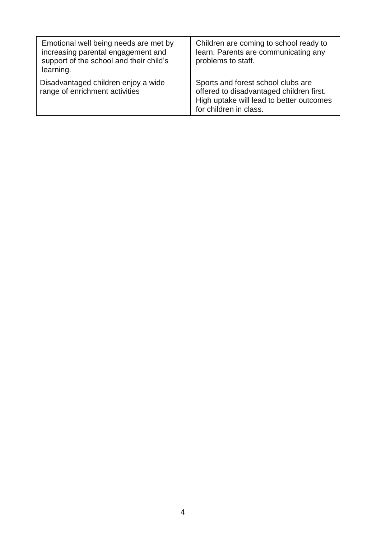| Emotional well being needs are met by<br>increasing parental engagement and<br>support of the school and their child's<br>learning. | Children are coming to school ready to<br>learn. Parents are communicating any<br>problems to staff.                                                 |
|-------------------------------------------------------------------------------------------------------------------------------------|------------------------------------------------------------------------------------------------------------------------------------------------------|
| Disadvantaged children enjoy a wide<br>range of enrichment activities                                                               | Sports and forest school clubs are<br>offered to disadvantaged children first.<br>High uptake will lead to better outcomes<br>for children in class. |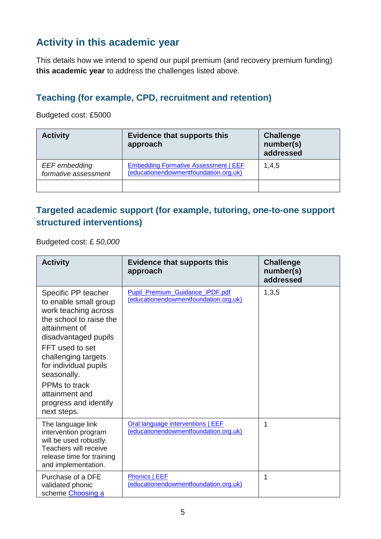### **Activity in this academic year**

This details how we intend to spend our pupil premium (and recovery premium funding) **this academic year** to address the challenges listed above.

#### **Teaching (for example, CPD, recruitment and retention)**

Budgeted cost: £5000

| <b>Activity</b>                       | <b>Evidence that supports this</b><br>approach                                       | <b>Challenge</b><br>number(s)<br>addressed |
|---------------------------------------|--------------------------------------------------------------------------------------|--------------------------------------------|
| EEF embedding<br>formative assessment | <b>Embedding Formative Assessment   EEF</b><br>(educationendowmentfoundation.org.uk) | 1,4,5                                      |
|                                       |                                                                                      |                                            |

#### **Targeted academic support (for example, tutoring, one-to-one support structured interventions)**

Budgeted cost: £ *50,000*

| <b>Activity</b>                                                                                                                                                                                                                                                                                       | <b>Evidence that supports this</b><br>approach                                  | <b>Challenge</b><br>number(s)<br>addressed |
|-------------------------------------------------------------------------------------------------------------------------------------------------------------------------------------------------------------------------------------------------------------------------------------------------------|---------------------------------------------------------------------------------|--------------------------------------------|
| Specific PP teacher<br>to enable small group<br>work teaching across<br>the school to raise the<br>attainment of<br>disadvantaged pupils<br>FFT used to set<br>challenging targets<br>for individual pupils<br>seasonally.<br>PPMs to track<br>attainment and<br>progress and identify<br>next steps. | <b>Pupil Premium Guidance iPDF.pdf</b><br>(educationendowmentfoundation.org.uk) | 1,3,5                                      |
| The language link<br>intervention program<br>will be used robustly.<br>Teachers will receive<br>release time for training<br>and implementation.                                                                                                                                                      | Oral language interventions   EEF<br>(educationendowmentfoundation.org.uk)      | 1                                          |
| Purchase of a DFE<br>validated phonic<br>scheme Choosing a                                                                                                                                                                                                                                            | <b>Phonics   EEF</b><br>(educationendowmentfoundation.org.uk)                   | 1                                          |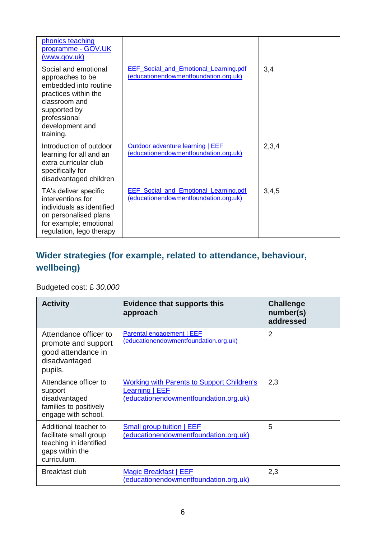| phonics teaching<br>programme - GOV.UK<br><u>(www.gov.uk)</u>                                                                                                              |                                                                                       |       |
|----------------------------------------------------------------------------------------------------------------------------------------------------------------------------|---------------------------------------------------------------------------------------|-------|
| Social and emotional<br>approaches to be<br>embedded into routine<br>practices within the<br>classroom and<br>supported by<br>professional<br>development and<br>training. | <b>EEF</b> Social and Emotional Learning.pdf<br>(educationendowmentfoundation.org.uk) | 3,4   |
| Introduction of outdoor<br>learning for all and an<br>extra curricular club<br>specifically for<br>disadvantaged children                                                  | Outdoor adventure learning   EEF<br>(educationendowmentfoundation.org.uk)             | 2,3,4 |
| TA's deliver specific<br>interventions for<br>individuals as identified<br>on personalised plans<br>for example; emotional<br>regulation, lego therapy                     | <b>EEF</b> Social and Emotional Learning.pdf<br>(educationendowmentfoundation.org.uk) | 3,4,5 |

### **Wider strategies (for example, related to attendance, behaviour, wellbeing)**

Budgeted cost: £ *30,000*

| <b>Activity</b>                                                                                             | <b>Evidence that supports this</b><br>approach                                                               | <b>Challenge</b><br>number(s)<br>addressed |
|-------------------------------------------------------------------------------------------------------------|--------------------------------------------------------------------------------------------------------------|--------------------------------------------|
| Attendance officer to<br>promote and support<br>good attendance in<br>disadvantaged<br>pupils.              | Parental engagement   EEF<br>(educationendowmentfoundation.org.uk)                                           | $\overline{2}$                             |
| Attendance officer to<br>support<br>disadvantaged<br>families to positively<br>engage with school.          | <b>Working with Parents to Support Children's</b><br>Learning   EEF<br>(educationendowmentfoundation.org.uk) | 2,3                                        |
| Additional teacher to<br>facilitate small group<br>teaching in identified<br>gaps within the<br>curriculum. | <b>Small group tuition   EEF</b><br>(educationendowmentfoundation.org.uk)                                    | 5                                          |
| Breakfast club                                                                                              | Magic Breakfast   EEF<br>(educationendowmentfoundation.org.uk)                                               | 2,3                                        |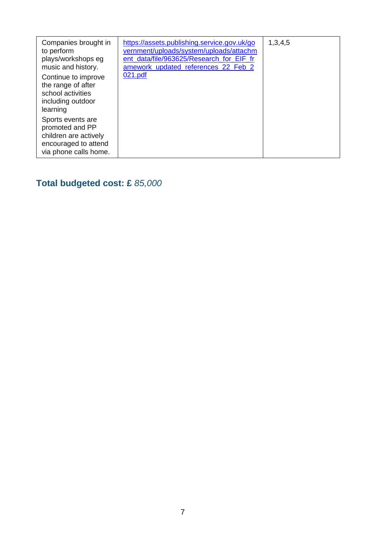| Companies brought in<br>to perform<br>plays/workshops eg<br>music and history.                                 | https://assets.publishing.service.gov.uk/go<br>vernment/uploads/system/uploads/attachm<br>ent data/file/963625/Research for EIF fr<br>amework_updated_references_22_Feb_2 | 1,3,4,5 |
|----------------------------------------------------------------------------------------------------------------|---------------------------------------------------------------------------------------------------------------------------------------------------------------------------|---------|
| Continue to improve<br>the range of after<br>school activities<br>including outdoor<br>learning                | 021.pdf                                                                                                                                                                   |         |
| Sports events are<br>promoted and PP<br>children are actively<br>encouraged to attend<br>via phone calls home. |                                                                                                                                                                           |         |

# **Total budgeted cost: £** *85,000*